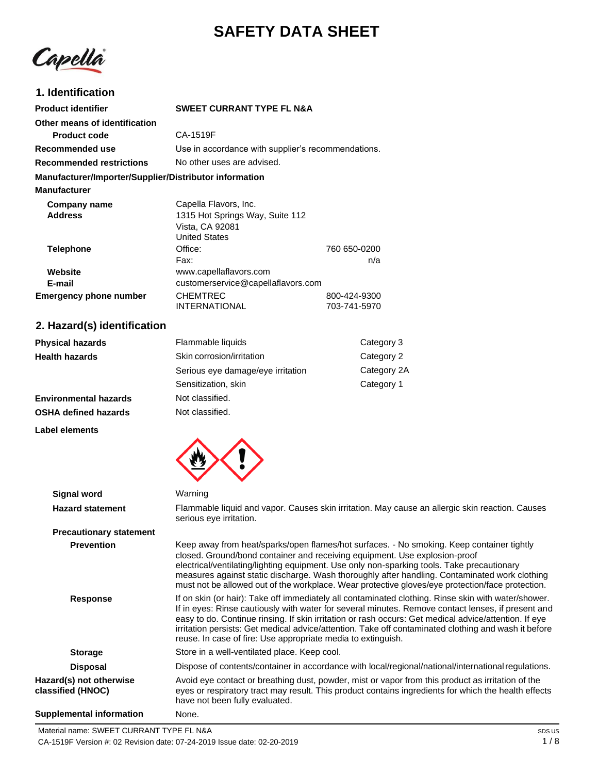# **SAFETY DATA SHEET**

Capella

### **1. Identification**

| <b>Product identifier</b>                              | <b>SWEET CURRANT TYPE FL N&amp;A</b>               |              |
|--------------------------------------------------------|----------------------------------------------------|--------------|
| Other means of identification                          |                                                    |              |
| <b>Product code</b>                                    | CA-1519F                                           |              |
| Recommended use                                        | Use in accordance with supplier's recommendations. |              |
| <b>Recommended restrictions</b>                        | No other uses are advised.                         |              |
| Manufacturer/Importer/Supplier/Distributor information |                                                    |              |
| <b>Manufacturer</b>                                    |                                                    |              |
| Company name                                           | Capella Flavors, Inc.                              |              |
| <b>Address</b>                                         | 1315 Hot Springs Way, Suite 112                    |              |
|                                                        | Vista, CA 92081                                    |              |
|                                                        | <b>United States</b>                               |              |
| <b>Telephone</b>                                       | Office:                                            | 760 650-0200 |
|                                                        | Fax:                                               | n/a          |
| Website                                                | www.capellaflavors.com                             |              |
| E-mail                                                 | customerservice@capellaflavors.com                 |              |
| <b>Emergency phone number</b>                          | <b>CHEMTREC</b>                                    | 800-424-9300 |
|                                                        | <b>INTERNATIONAL</b>                               | 703-741-5970 |

# **2. Hazard(s) identification**

| <b>Physical hazards</b>      | Flammable liquids                       | Category 3  |
|------------------------------|-----------------------------------------|-------------|
| <b>Health hazards</b>        | Skin corrosion/irritation<br>Category 2 |             |
|                              | Serious eye damage/eye irritation       | Category 2A |
|                              | Sensitization, skin                     | Category 1  |
| <b>Environmental hazards</b> | Not classified.                         |             |
| <b>OSHA defined hazards</b>  | Not classified.                         |             |

**Label elements**



|                                              | Warning                                                                                                                                                                                                                                                                                                                                                                                                                                                                                    |  |
|----------------------------------------------|--------------------------------------------------------------------------------------------------------------------------------------------------------------------------------------------------------------------------------------------------------------------------------------------------------------------------------------------------------------------------------------------------------------------------------------------------------------------------------------------|--|
| Signal word                                  |                                                                                                                                                                                                                                                                                                                                                                                                                                                                                            |  |
| <b>Hazard statement</b>                      | Flammable liquid and vapor. Causes skin irritation. May cause an allergic skin reaction. Causes<br>serious eye irritation.                                                                                                                                                                                                                                                                                                                                                                 |  |
| <b>Precautionary statement</b>               |                                                                                                                                                                                                                                                                                                                                                                                                                                                                                            |  |
| <b>Prevention</b>                            | Keep away from heat/sparks/open flames/hot surfaces. - No smoking. Keep container tightly<br>closed. Ground/bond container and receiving equipment. Use explosion-proof<br>electrical/ventilating/lighting equipment. Use only non-sparking tools. Take precautionary<br>measures against static discharge. Wash thoroughly after handling. Contaminated work clothing<br>must not be allowed out of the workplace. Wear protective gloves/eye protection/face protection.                 |  |
| <b>Response</b>                              | If on skin (or hair): Take off immediately all contaminated clothing. Rinse skin with water/shower.<br>If in eyes: Rinse cautiously with water for several minutes. Remove contact lenses, if present and<br>easy to do. Continue rinsing. If skin irritation or rash occurs: Get medical advice/attention. If eye<br>irritation persists: Get medical advice/attention. Take off contaminated clothing and wash it before<br>reuse. In case of fire: Use appropriate media to extinguish. |  |
| <b>Storage</b>                               | Store in a well-ventilated place. Keep cool.                                                                                                                                                                                                                                                                                                                                                                                                                                               |  |
| <b>Disposal</b>                              | Dispose of contents/container in accordance with local/regional/national/international regulations.                                                                                                                                                                                                                                                                                                                                                                                        |  |
| Hazard(s) not otherwise<br>classified (HNOC) | Avoid eye contact or breathing dust, powder, mist or vapor from this product as irritation of the<br>eyes or respiratory tract may result. This product contains ingredients for which the health effects<br>have not been fully evaluated.                                                                                                                                                                                                                                                |  |
| Supplemental information                     | None.                                                                                                                                                                                                                                                                                                                                                                                                                                                                                      |  |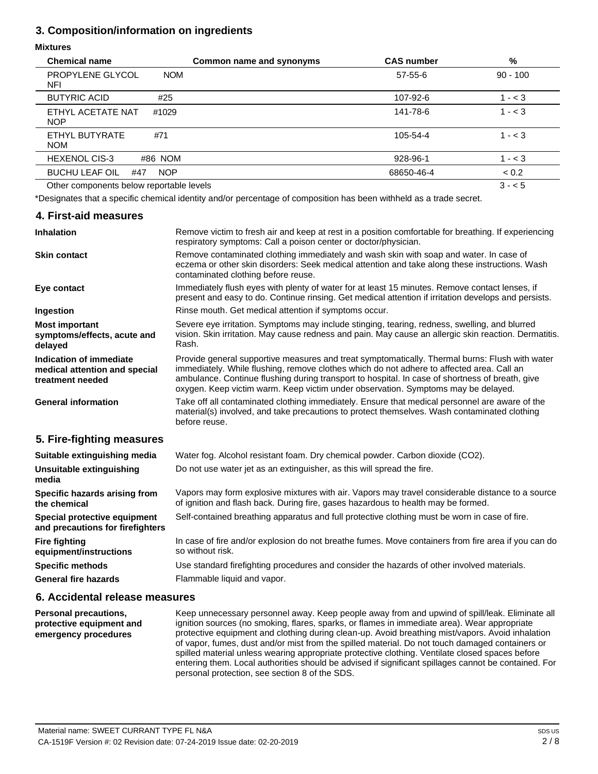### **3. Composition/information on ingredients**

### **Mixtures**

| <b>Chemical name</b>                       | Common name and synonyms | <b>CAS number</b> | %          |
|--------------------------------------------|--------------------------|-------------------|------------|
| PROPYLENE GLYCOL<br><b>NOM</b><br>NFI      |                          | 57-55-6           | $90 - 100$ |
| <b>BUTYRIC ACID</b><br>#25                 |                          | 107-92-6          | $1 - < 3$  |
| ETHYL ACETATE NAT<br>#1029<br><b>NOP</b>   |                          | 141-78-6          | $1 - < 3$  |
| ETHYL BUTYRATE<br>#71<br><b>NOM</b>        |                          | 105-54-4          | $1 - < 3$  |
| <b>HEXENOL CIS-3</b><br>#86 NOM            |                          | 928-96-1          | $1 - < 3$  |
| <b>BUCHU LEAF OIL</b><br><b>NOP</b><br>#47 |                          | 68650-46-4        | < 0.2      |
| Other components below reportable levels   |                          |                   | $3 - 5$    |

\*Designates that a specific chemical identity and/or percentage of composition has been withheld as a trade secret.

### **4. First-aid measures**

| <b>Inhalation</b>                                                            | Remove victim to fresh air and keep at rest in a position comfortable for breathing. If experiencing<br>respiratory symptoms: Call a poison center or doctor/physician.                                                                                                                                                                                                             |  |  |
|------------------------------------------------------------------------------|-------------------------------------------------------------------------------------------------------------------------------------------------------------------------------------------------------------------------------------------------------------------------------------------------------------------------------------------------------------------------------------|--|--|
| <b>Skin contact</b>                                                          | Remove contaminated clothing immediately and wash skin with soap and water. In case of<br>eczema or other skin disorders: Seek medical attention and take along these instructions. Wash<br>contaminated clothing before reuse.                                                                                                                                                     |  |  |
| Eye contact                                                                  | Immediately flush eyes with plenty of water for at least 15 minutes. Remove contact lenses, if<br>present and easy to do. Continue rinsing. Get medical attention if irritation develops and persists.                                                                                                                                                                              |  |  |
| Ingestion                                                                    | Rinse mouth. Get medical attention if symptoms occur.                                                                                                                                                                                                                                                                                                                               |  |  |
| <b>Most important</b><br>symptoms/effects, acute and<br>delayed              | Severe eye irritation. Symptoms may include stinging, tearing, redness, swelling, and blurred<br>vision. Skin irritation. May cause redness and pain. May cause an allergic skin reaction. Dermatitis.<br>Rash.                                                                                                                                                                     |  |  |
| Indication of immediate<br>medical attention and special<br>treatment needed | Provide general supportive measures and treat symptomatically. Thermal burns: Flush with water<br>immediately. While flushing, remove clothes which do not adhere to affected area. Call an<br>ambulance. Continue flushing during transport to hospital. In case of shortness of breath, give<br>oxygen. Keep victim warm. Keep victim under observation. Symptoms may be delayed. |  |  |
| <b>General information</b>                                                   | Take off all contaminated clothing immediately. Ensure that medical personnel are aware of the<br>material(s) involved, and take precautions to protect themselves. Wash contaminated clothing<br>before reuse.                                                                                                                                                                     |  |  |
| 5. Fire-fighting measures                                                    |                                                                                                                                                                                                                                                                                                                                                                                     |  |  |
| Suitable extinguishing media                                                 | Water fog. Alcohol resistant foam. Dry chemical powder. Carbon dioxide (CO2).                                                                                                                                                                                                                                                                                                       |  |  |
| Unsuitable extinguishing<br>media                                            | Do not use water jet as an extinguisher, as this will spread the fire.                                                                                                                                                                                                                                                                                                              |  |  |
| Specific hazards arising from<br>the chemical                                | Vapors may form explosive mixtures with air. Vapors may travel considerable distance to a source<br>of ignition and flash back. During fire, gases hazardous to health may be formed.                                                                                                                                                                                               |  |  |
| Special protective equipment<br>and precautions for firefighters             | Self-contained breathing apparatus and full protective clothing must be worn in case of fire.                                                                                                                                                                                                                                                                                       |  |  |
| <b>Fire fighting</b><br>equipment/instructions                               | In case of fire and/or explosion do not breathe fumes. Move containers from fire area if you can do<br>so without risk.                                                                                                                                                                                                                                                             |  |  |
| <b>Specific methods</b>                                                      | Use standard firefighting procedures and consider the hazards of other involved materials.                                                                                                                                                                                                                                                                                          |  |  |
| <b>General fire hazards</b>                                                  | Flammable liquid and vapor.                                                                                                                                                                                                                                                                                                                                                         |  |  |

#### **6. Accidental release measures**

**Personal precautions, protective equipment and emergency procedures** Keep unnecessary personnel away. Keep people away from and upwind of spill/leak. Eliminate all ignition sources (no smoking, flares, sparks, or flames in immediate area). Wear appropriate protective equipment and clothing during clean-up. Avoid breathing mist/vapors. Avoid inhalation of vapor, fumes, dust and/or mist from the spilled material. Do not touch damaged containers or spilled material unless wearing appropriate protective clothing. Ventilate closed spaces before entering them. Local authorities should be advised if significant spillages cannot be contained. For personal protection, see section 8 of the SDS.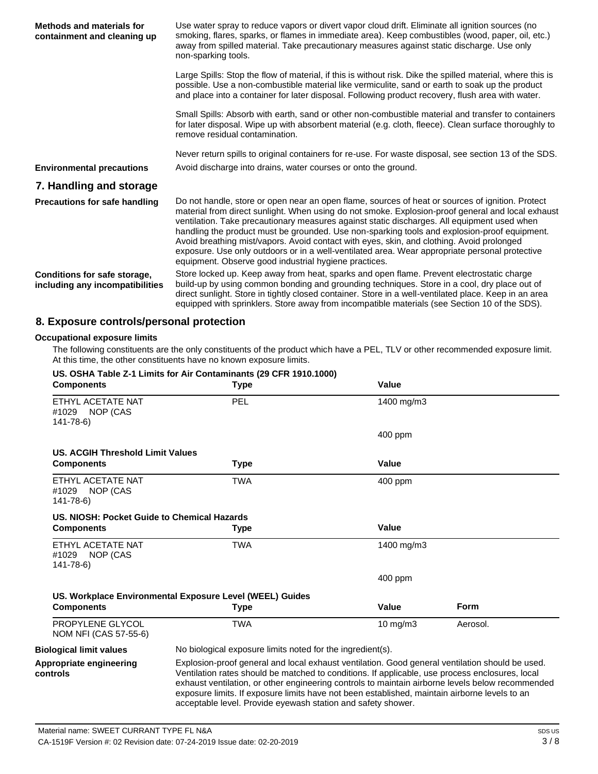| Methods and materials for<br>containment and cleaning up        | Use water spray to reduce vapors or divert vapor cloud drift. Eliminate all ignition sources (no<br>smoking, flares, sparks, or flames in immediate area). Keep combustibles (wood, paper, oil, etc.)<br>away from spilled material. Take precautionary measures against static discharge. Use only<br>non-sparking tools.                                                                                                                                                                                                                                                                                                                                   |
|-----------------------------------------------------------------|--------------------------------------------------------------------------------------------------------------------------------------------------------------------------------------------------------------------------------------------------------------------------------------------------------------------------------------------------------------------------------------------------------------------------------------------------------------------------------------------------------------------------------------------------------------------------------------------------------------------------------------------------------------|
|                                                                 | Large Spills: Stop the flow of material, if this is without risk. Dike the spilled material, where this is<br>possible. Use a non-combustible material like vermiculite, sand or earth to soak up the product<br>and place into a container for later disposal. Following product recovery, flush area with water.                                                                                                                                                                                                                                                                                                                                           |
|                                                                 | Small Spills: Absorb with earth, sand or other non-combustible material and transfer to containers<br>for later disposal. Wipe up with absorbent material (e.g. cloth, fleece). Clean surface thoroughly to<br>remove residual contamination.                                                                                                                                                                                                                                                                                                                                                                                                                |
|                                                                 | Never return spills to original containers for re-use. For waste disposal, see section 13 of the SDS.                                                                                                                                                                                                                                                                                                                                                                                                                                                                                                                                                        |
| <b>Environmental precautions</b>                                | Avoid discharge into drains, water courses or onto the ground.                                                                                                                                                                                                                                                                                                                                                                                                                                                                                                                                                                                               |
| 7. Handling and storage                                         |                                                                                                                                                                                                                                                                                                                                                                                                                                                                                                                                                                                                                                                              |
| <b>Precautions for safe handling</b>                            | Do not handle, store or open near an open flame, sources of heat or sources of ignition. Protect<br>material from direct sunlight. When using do not smoke. Explosion-proof general and local exhaust<br>ventilation. Take precautionary measures against static discharges. All equipment used when<br>handling the product must be grounded. Use non-sparking tools and explosion-proof equipment.<br>Avoid breathing mist/vapors. Avoid contact with eyes, skin, and clothing. Avoid prolonged<br>exposure. Use only outdoors or in a well-ventilated area. Wear appropriate personal protective<br>equipment. Observe good industrial hygiene practices. |
| Conditions for safe storage,<br>including any incompatibilities | Store locked up. Keep away from heat, sparks and open flame. Prevent electrostatic charge<br>build-up by using common bonding and grounding techniques. Store in a cool, dry place out of<br>direct sunlight. Store in tightly closed container. Store in a well-ventilated place. Keep in an area<br>equipped with sprinklers. Store away from incompatible materials (see Section 10 of the SDS).                                                                                                                                                                                                                                                          |

# **8. Exposure controls/personal protection**

#### **Occupational exposure limits**

The following constituents are the only constituents of the product which have a PEL, TLV or other recommended exposure limit. At this time, the other constituents have no known exposure limits.<br>HS. OSHA Toble 7.4 Limits for Air Contaminants (20 CFB 1919 1908)

| <b>Components</b>                                     | Type                                                                                                                                                                                                                                                                                                                                                                                                                                                                    | Value             |             |
|-------------------------------------------------------|-------------------------------------------------------------------------------------------------------------------------------------------------------------------------------------------------------------------------------------------------------------------------------------------------------------------------------------------------------------------------------------------------------------------------------------------------------------------------|-------------------|-------------|
| ETHYL ACETATE NAT<br>#1029 NOP (CAS<br>$141 - 78 - 6$ | <b>PEL</b>                                                                                                                                                                                                                                                                                                                                                                                                                                                              | 1400 mg/m3        |             |
|                                                       |                                                                                                                                                                                                                                                                                                                                                                                                                                                                         | 400 ppm           |             |
| <b>US. ACGIH Threshold Limit Values</b>               |                                                                                                                                                                                                                                                                                                                                                                                                                                                                         |                   |             |
| <b>Components</b>                                     | Type                                                                                                                                                                                                                                                                                                                                                                                                                                                                    | Value             |             |
| ETHYL ACETATE NAT<br>#1029 NOP (CAS<br>$141 - 78 - 6$ | <b>TWA</b>                                                                                                                                                                                                                                                                                                                                                                                                                                                              | 400 ppm           |             |
| US. NIOSH: Pocket Guide to Chemical Hazards           |                                                                                                                                                                                                                                                                                                                                                                                                                                                                         |                   |             |
| <b>Components</b>                                     | Type                                                                                                                                                                                                                                                                                                                                                                                                                                                                    | Value             |             |
| ETHYL ACETATE NAT<br>#1029 NOP (CAS<br>141-78-6)      | <b>TWA</b>                                                                                                                                                                                                                                                                                                                                                                                                                                                              | 1400 mg/m3        |             |
|                                                       |                                                                                                                                                                                                                                                                                                                                                                                                                                                                         | 400 ppm           |             |
|                                                       | US. Workplace Environmental Exposure Level (WEEL) Guides                                                                                                                                                                                                                                                                                                                                                                                                                |                   |             |
| <b>Components</b>                                     | Type                                                                                                                                                                                                                                                                                                                                                                                                                                                                    | Value             | <b>Form</b> |
| PROPYLENE GLYCOL<br>NOM NFI (CAS 57-55-6)             | <b>TWA</b>                                                                                                                                                                                                                                                                                                                                                                                                                                                              | $10 \text{ mg/m}$ | Aerosol.    |
| <b>Biological limit values</b>                        | No biological exposure limits noted for the ingredient(s).                                                                                                                                                                                                                                                                                                                                                                                                              |                   |             |
| Appropriate engineering<br>controls                   | Explosion-proof general and local exhaust ventilation. Good general ventilation should be used.<br>Ventilation rates should be matched to conditions. If applicable, use process enclosures, local<br>exhaust ventilation, or other engineering controls to maintain airborne levels below recommended<br>exposure limits. If exposure limits have not been established, maintain airborne levels to an<br>acceptable level. Provide eyewash station and safety shower. |                   |             |

### **US. OSHA Table Z-1 Limits for Air Contaminants (29 CFR 1910.1000)**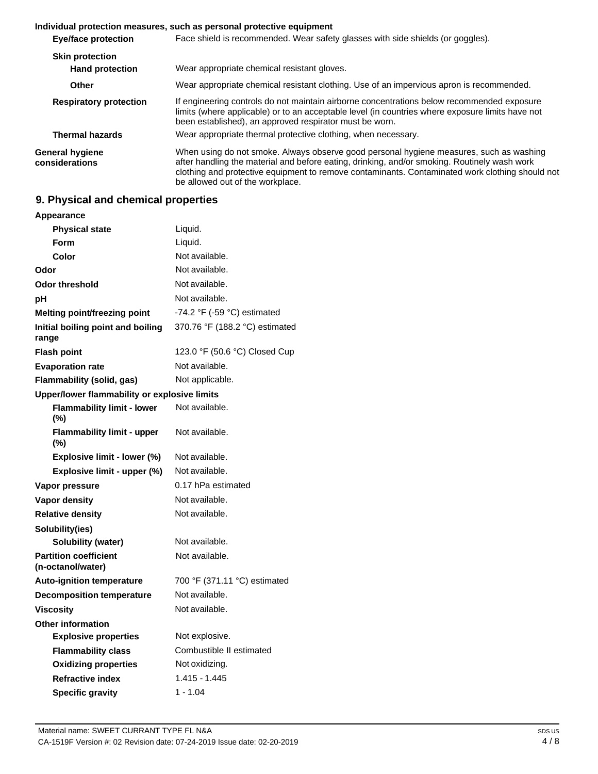#### **Individual protection measures, such as personal protective equipment**

| <b>Eye/face protection</b>                       | Face shield is recommended. Wear safety glasses with side shields (or goggles).                                                                                                                                                                                                                                                |  |
|--------------------------------------------------|--------------------------------------------------------------------------------------------------------------------------------------------------------------------------------------------------------------------------------------------------------------------------------------------------------------------------------|--|
| <b>Skin protection</b><br><b>Hand protection</b> | Wear appropriate chemical resistant gloves.                                                                                                                                                                                                                                                                                    |  |
| Other                                            | Wear appropriate chemical resistant clothing. Use of an impervious apron is recommended.                                                                                                                                                                                                                                       |  |
| <b>Respiratory protection</b>                    | If engineering controls do not maintain airborne concentrations below recommended exposure<br>limits (where applicable) or to an acceptable level (in countries where exposure limits have not<br>been established), an approved respirator must be worn.                                                                      |  |
| <b>Thermal hazards</b>                           | Wear appropriate thermal protective clothing, when necessary.                                                                                                                                                                                                                                                                  |  |
| General hygiene<br>considerations                | When using do not smoke. Always observe good personal hygiene measures, such as washing<br>after handling the material and before eating, drinking, and/or smoking. Routinely wash work<br>clothing and protective equipment to remove contaminants. Contaminated work clothing should not<br>be allowed out of the workplace. |  |

### **9. Physical and chemical properties**

| Appearance                                        |                                |
|---------------------------------------------------|--------------------------------|
| <b>Physical state</b>                             | Liquid.                        |
| Form                                              | Liquid.                        |
| Color                                             | Not available.                 |
| Odor                                              | Not available.                 |
| <b>Odor threshold</b>                             | Not available.                 |
| рH                                                | Not available.                 |
| Melting point/freezing point                      | -74.2 °F (-59 °C) estimated    |
| Initial boiling point and boiling<br>range        | 370.76 °F (188.2 °C) estimated |
| <b>Flash point</b>                                | 123.0 °F (50.6 °C) Closed Cup  |
| <b>Evaporation rate</b>                           | Not available.                 |
| Flammability (solid, gas)                         | Not applicable.                |
| Upper/lower flammability or explosive limits      |                                |
| <b>Flammability limit - lower</b><br>(%)          | Not available.                 |
| <b>Flammability limit - upper</b><br>(%)          | Not available.                 |
| Explosive limit - lower (%)                       | Not available.                 |
| Explosive limit - upper (%)                       | Not available.                 |
| Vapor pressure                                    | 0.17 hPa estimated             |
| <b>Vapor density</b>                              | Not available.                 |
| <b>Relative density</b>                           | Not available.                 |
| Solubility(ies)                                   |                                |
| Solubility (water)                                | Not available.                 |
| <b>Partition coefficient</b><br>(n-octanol/water) | Not available.                 |
| <b>Auto-ignition temperature</b>                  | 700 °F (371.11 °C) estimated   |
| <b>Decomposition temperature</b>                  | Not available.                 |
| <b>Viscosity</b>                                  | Not available.                 |
| <b>Other information</b>                          |                                |
| <b>Explosive properties</b>                       | Not explosive.                 |
| <b>Flammability class</b>                         | Combustible II estimated       |
| <b>Oxidizing properties</b>                       | Not oxidizing.                 |
| <b>Refractive index</b>                           | $1.415 - 1.445$                |
| <b>Specific gravity</b>                           | $1 - 1.04$                     |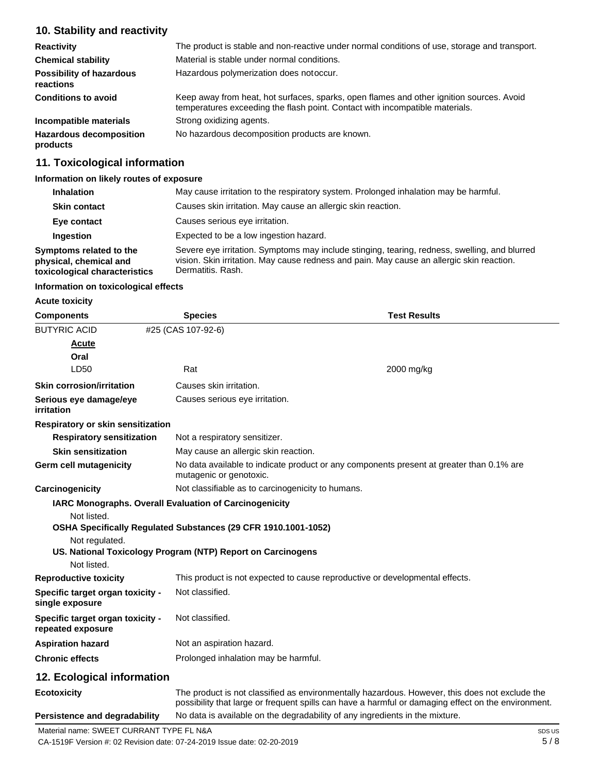# **10. Stability and reactivity**

| <b>Reactivity</b>                            | The product is stable and non-reactive under normal conditions of use, storage and transport.                                                                            |  |  |
|----------------------------------------------|--------------------------------------------------------------------------------------------------------------------------------------------------------------------------|--|--|
| <b>Chemical stability</b>                    | Material is stable under normal conditions.                                                                                                                              |  |  |
| <b>Possibility of hazardous</b><br>reactions | Hazardous polymerization does not occur.                                                                                                                                 |  |  |
| <b>Conditions to avoid</b>                   | Keep away from heat, hot surfaces, sparks, open flames and other ignition sources. Avoid<br>temperatures exceeding the flash point. Contact with incompatible materials. |  |  |
| Incompatible materials                       | Strong oxidizing agents.                                                                                                                                                 |  |  |
| <b>Hazardous decomposition</b><br>products   | No hazardous decomposition products are known.                                                                                                                           |  |  |

### **11. Toxicological information**

### **Information on likely routes of exposure**

| <b>Inhalation</b>                                                                  | May cause irritation to the respiratory system. Prolonged inhalation may be harmful.                                                                                                                            |  |  |
|------------------------------------------------------------------------------------|-----------------------------------------------------------------------------------------------------------------------------------------------------------------------------------------------------------------|--|--|
| <b>Skin contact</b>                                                                | Causes skin irritation. May cause an allergic skin reaction.                                                                                                                                                    |  |  |
| Eye contact                                                                        | Causes serious eye irritation.                                                                                                                                                                                  |  |  |
| Ingestion                                                                          | Expected to be a low ingestion hazard.                                                                                                                                                                          |  |  |
| Symptoms related to the<br>physical, chemical and<br>toxicological characteristics | Severe eye irritation. Symptoms may include stinging, tearing, redness, swelling, and blurred<br>vision. Skin irritation. May cause redness and pain. May cause an allergic skin reaction.<br>Dermatitis, Rash. |  |  |

#### **Information on toxicological effects**

**Acute toxicity**

| <b>Components</b>                                          | <b>Species</b>                                                 | <b>Test Results</b>                                                                                                                                                                                   |
|------------------------------------------------------------|----------------------------------------------------------------|-------------------------------------------------------------------------------------------------------------------------------------------------------------------------------------------------------|
| <b>BUTYRIC ACID</b>                                        | #25 (CAS 107-92-6)                                             |                                                                                                                                                                                                       |
| Acute                                                      |                                                                |                                                                                                                                                                                                       |
| Oral                                                       |                                                                |                                                                                                                                                                                                       |
| LD50                                                       | Rat                                                            | 2000 mg/kg                                                                                                                                                                                            |
| <b>Skin corrosion/irritation</b>                           | Causes skin irritation.                                        |                                                                                                                                                                                                       |
| Serious eye damage/eye<br>irritation                       | Causes serious eye irritation.                                 |                                                                                                                                                                                                       |
| <b>Respiratory or skin sensitization</b>                   |                                                                |                                                                                                                                                                                                       |
| <b>Respiratory sensitization</b>                           | Not a respiratory sensitizer.                                  |                                                                                                                                                                                                       |
| <b>Skin sensitization</b>                                  | May cause an allergic skin reaction.                           |                                                                                                                                                                                                       |
| Germ cell mutagenicity                                     | mutagenic or genotoxic.                                        | No data available to indicate product or any components present at greater than 0.1% are                                                                                                              |
| Carcinogenicity                                            | Not classifiable as to carcinogenicity to humans.              |                                                                                                                                                                                                       |
|                                                            | IARC Monographs. Overall Evaluation of Carcinogenicity         |                                                                                                                                                                                                       |
| Not listed.                                                | OSHA Specifically Regulated Substances (29 CFR 1910.1001-1052) |                                                                                                                                                                                                       |
| Not regulated.                                             | US. National Toxicology Program (NTP) Report on Carcinogens    |                                                                                                                                                                                                       |
| Not listed.                                                |                                                                |                                                                                                                                                                                                       |
| <b>Reproductive toxicity</b>                               |                                                                | This product is not expected to cause reproductive or developmental effects.                                                                                                                          |
| <b>Specific target organ toxicity -</b><br>single exposure | Not classified.                                                |                                                                                                                                                                                                       |
| Specific target organ toxicity -<br>repeated exposure      | Not classified.                                                |                                                                                                                                                                                                       |
| <b>Aspiration hazard</b>                                   | Not an aspiration hazard.                                      |                                                                                                                                                                                                       |
| <b>Chronic effects</b>                                     | Prolonged inhalation may be harmful.                           |                                                                                                                                                                                                       |
| 12. Ecological information                                 |                                                                |                                                                                                                                                                                                       |
| <b>Ecotoxicity</b>                                         |                                                                | The product is not classified as environmentally hazardous. However, this does not exclude the<br>possibility that large or frequent spills can have a harmful or damaging effect on the environment. |
| <b>Persistence and degradability</b>                       |                                                                | No data is available on the degradability of any ingredients in the mixture.                                                                                                                          |

CA-1519F Version #: 02 Revision date: 07-24-2019 Issue date: 02-20-2019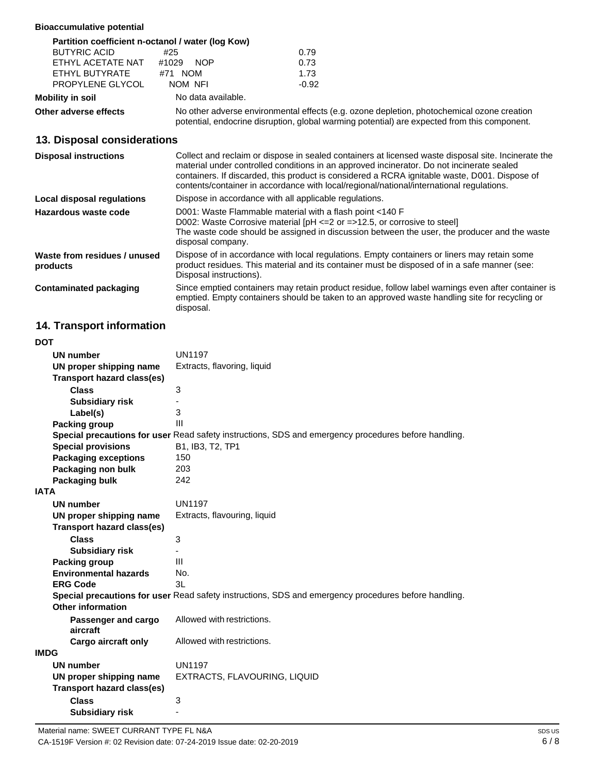### **Bioaccumulative potential**

|                       | Partition coefficient n-octanol / water (log Kow)                                                                                                                                          |         |
|-----------------------|--------------------------------------------------------------------------------------------------------------------------------------------------------------------------------------------|---------|
| <b>BUTYRIC ACID</b>   | #25                                                                                                                                                                                        | 0.79    |
| ETHYL ACETATE NAT     | #1029<br><b>NOP</b>                                                                                                                                                                        | 0.73    |
| ETHYL BUTYRATE        | #71 NOM                                                                                                                                                                                    | 1.73    |
| PROPYLENE GLYCOL      | NOM NFI                                                                                                                                                                                    | $-0.92$ |
| Mobility in soil      | No data available.                                                                                                                                                                         |         |
| Other adverse effects | No other adverse environmental effects (e.g. ozone depletion, photochemical ozone creation<br>potential, endocrine disruption, global warming potential) are expected from this component. |         |

### **13. Disposal considerations**

| <b>Disposal instructions</b>             | Collect and reclaim or dispose in sealed containers at licensed waste disposal site. Incinerate the<br>material under controlled conditions in an approved incinerator. Do not incinerate sealed<br>containers. If discarded, this product is considered a RCRA ignitable waste, D001. Dispose of<br>contents/container in accordance with local/regional/national/international regulations. |
|------------------------------------------|-----------------------------------------------------------------------------------------------------------------------------------------------------------------------------------------------------------------------------------------------------------------------------------------------------------------------------------------------------------------------------------------------|
| Local disposal regulations               | Dispose in accordance with all applicable regulations.                                                                                                                                                                                                                                                                                                                                        |
| Hazardous waste code                     | D001: Waste Flammable material with a flash point <140 F<br>D002: Waste Corrosive material $[PH \le 2$ or $= >12.5$ , or corrosive to steel]<br>The waste code should be assigned in discussion between the user, the producer and the waste<br>disposal company.                                                                                                                             |
| Waste from residues / unused<br>products | Dispose of in accordance with local regulations. Empty containers or liners may retain some<br>product residues. This material and its container must be disposed of in a safe manner (see:<br>Disposal instructions).                                                                                                                                                                        |
| Contaminated packaging                   | Since emptied containers may retain product residue, follow label warnings even after container is<br>emptied. Empty containers should be taken to an approved waste handling site for recycling or<br>disposal.                                                                                                                                                                              |

# **14. Transport information**

| <b>DOT</b>                   |                                   |                                                                                                      |
|------------------------------|-----------------------------------|------------------------------------------------------------------------------------------------------|
| <b>UN number</b>             |                                   | <b>UN1197</b>                                                                                        |
|                              | UN proper shipping name           | Extracts, flavoring, liquid                                                                          |
|                              | <b>Transport hazard class(es)</b> |                                                                                                      |
| <b>Class</b>                 |                                   | 3                                                                                                    |
| <b>Subsidiary risk</b>       |                                   |                                                                                                      |
| Label(s)                     |                                   | 3                                                                                                    |
| <b>Packing group</b>         |                                   | III                                                                                                  |
|                              |                                   | Special precautions for user Read safety instructions, SDS and emergency procedures before handling. |
| <b>Special provisions</b>    |                                   | B1, IB3, T2, TP1                                                                                     |
| <b>Packaging exceptions</b>  |                                   | 150                                                                                                  |
| Packaging non bulk           |                                   | 203                                                                                                  |
| Packaging bulk               |                                   | 242                                                                                                  |
| <b>IATA</b>                  |                                   |                                                                                                      |
| <b>UN number</b>             |                                   | <b>UN1197</b>                                                                                        |
|                              | UN proper shipping name           | Extracts, flavouring, liquid                                                                         |
|                              | <b>Transport hazard class(es)</b> |                                                                                                      |
| <b>Class</b>                 |                                   | 3                                                                                                    |
| <b>Subsidiary risk</b>       |                                   |                                                                                                      |
| Packing group                |                                   | III                                                                                                  |
| <b>Environmental hazards</b> |                                   | No.                                                                                                  |
| <b>ERG Code</b>              |                                   | 3L                                                                                                   |
|                              |                                   | Special precautions for user Read safety instructions, SDS and emergency procedures before handling. |
| <b>Other information</b>     |                                   |                                                                                                      |
| aircraft                     | Passenger and cargo               | Allowed with restrictions.                                                                           |
|                              | <b>Cargo aircraft only</b>        | Allowed with restrictions.                                                                           |
| <b>IMDG</b>                  |                                   |                                                                                                      |
| <b>UN number</b>             |                                   | <b>UN1197</b>                                                                                        |
|                              | UN proper shipping name           | EXTRACTS, FLAVOURING, LIQUID                                                                         |
|                              | <b>Transport hazard class(es)</b> |                                                                                                      |
| <b>Class</b>                 |                                   | 3                                                                                                    |
| <b>Subsidiary risk</b>       |                                   |                                                                                                      |
|                              |                                   |                                                                                                      |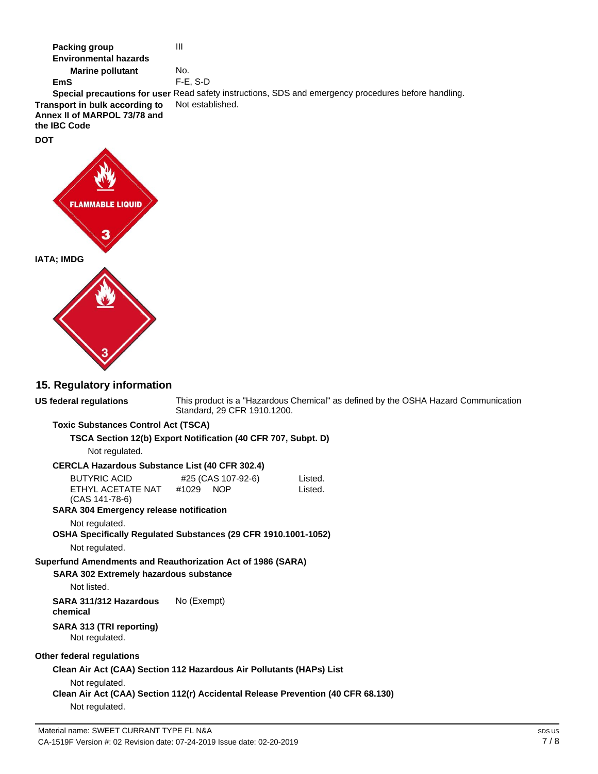**Marine pollutant**  No. F-E, S-D **EmS Special precautions for user** Read safety instructions, SDS and emergency procedures before handling. Not established. **Transport in bulk according to Annex II of MARPOL 73/78 and the IBC Code DOT FLAMMARI IATA; IMDG 15. Regulatory information US federal regulations** This product is a "Hazardous Chemical" as defined by the OSHA Hazard Communication Standard, 29 CFR 1910.1200. **Toxic Substances Control Act (TSCA) TSCA Section 12(b) Export Notification (40 CFR 707, Subpt. D)** Not regulated. **CERCLA Hazardous Substance List (40 CFR 302.4)** BUTYRIC ACID #25 (CAS 107-92-6) Listed. Listed. ETHYL ACETATE NAT #1029 NOP (CAS 141-78-6) **SARA 304 Emergency release notification** Not regulated. **OSHA Specifically Regulated Substances (29 CFR 1910.1001-1052)** Not regulated. **Superfund Amendments and Reauthorization Act of 1986 (SARA) SARA 302 Extremely hazardous substance** Not listed. **SARA 311/312 Hazardous**  No (Exempt) **chemical SARA 313 (TRI reporting)** Not regulated. **Other federal regulations Clean Air Act (CAA) Section 112 Hazardous Air Pollutants (HAPs) List** Not regulated. **Clean Air Act (CAA) Section 112(r) Accidental Release Prevention (40 CFR 68.130)** Not regulated.Material name: SWEET CURRANT TYPE FL N&A

**Packing group** 

**Environmental hazards**

III